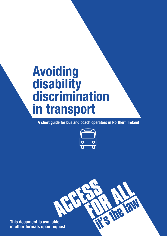# **Avoiding disability discrimination in transport**

**A short guide for bus and coach operators in Northern Ireland**



RE FOLK

**This document is available in other formats upon request**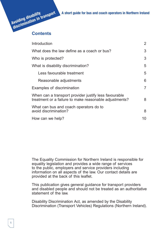

| Introduction                                                                                                    | 2              |
|-----------------------------------------------------------------------------------------------------------------|----------------|
| What does the law define as a coach or bus?                                                                     |                |
| Who is protected?                                                                                               | 3              |
| What is disability discrimination?                                                                              | 5              |
| Less favourable treatment                                                                                       | 5              |
| Reasonable adjustments                                                                                          | 6              |
| Examples of discrimination                                                                                      | $\overline{7}$ |
| When can a transport provider justify less favourable<br>treatment or a failure to make reasonable adjustments? | 8              |
| What can bus and coach operators do to<br>avoid discrimination?                                                 | 8              |
| How can we help?                                                                                                | 10             |

The Equality Commission for Northern Ireland is responsible for equality legislation and provides a wide range of services to the public, employers and service providers including information on all aspects of the law. Our contact details are provided at the back of this leaflet.

This publication gives general guidance for transport providers and disabled people and should not be treated as an authoritative statement of the law.

Disability Discrimination Act, as amended by the Disability Discrimination (Transport Vehicles) Regulations (Northern Ireland).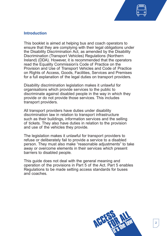

## **Introduction**

This booklet is aimed at helping bus and coach operators to ensure that they are complying with their legal obligations under the Disability Discrimination Act, as amended by the Disability Discrimination (Transport Vehicles) Regulations (Northern Ireland) (DDA). However, it is recommended that the operators read the Equality Commission's Code of Practice on the Provision and Use of Transport Vehicles and Code of Practice on Rights of Access, Goods, Facilities, Services and Premises for a full explanation of the legal duties on transport providers.

Disability discrimination legislation makes it unlawful for organisations which provide services to the public to discriminate against disabled people in the way in which they provide or do not provide those services. This includes transport providers.

All transport providers have duties under disability discrimination law in relation to transport infrastructure such as their buildings, information services and the selling of tickets. They also have duties in relation to the provision and use of the vehicles they provide.

The legislation makes it unlawful for transport providers to refuse or deliberately fail to provide a service to a disabled person. They must also make "reasonable adjustments" to take away or overcome elements in their services which present barriers to disabled people.

This guide does not deal with the general meaning and operation of the provisions in Part 5 of the Act. Part 5 enables Regulations to be made setting access standards for buses and coaches.

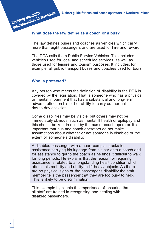# **What does the law define as a coach or a bus?**

The law defines buses and coaches as vehicles which carry more than eight passengers and are used for hire and reward.

The DDA calls them Public Service Vehicles. This includes vehicles used for local and scheduled services, as well as those used for leisure and tourism purposes. It includes, for example, all public transport buses and coaches used for tours.

#### **Who is protected?**

**Avoiding disability**

Any person who meets the definition of disability in the DDA is covered by the legislation. That is someone who has a physical or mental impairment that has a substantial and long-term adverse effect on his or her ability to carry out normal day-to-day activities.

Some disabilities may be visible, but others may not be immediately obvious, such as mental ill health or epilepsy and this should be kept in mind by the bus or coach operator. It is important that bus and coach operators do not make assumptions about whether or not someone is disabled or the extent of someone's disability.

A disabled passenger with a heart complaint asks for assistance carrying his luggage from his car onto a coach and for assistance to get to the coach as he finds it difficult to walk for long periods. He explains that the reason for requiring assistance is related to a longstanding heart condition which affects his mobility and ability to lift heavy objects. As there are no physical signs of the passenger's disability the staff member tells the passenger that they are too busy to help. This is likely to be discrimination.

This example highlights the importance of ensuring that all staff are trained in recognising and dealing with disabled passengers.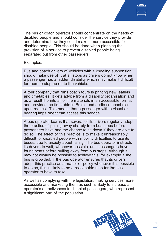

The bus or coach operator should concentrate on the needs of disabled people and should consider the service they provide and determine how they could make it more accessible for disabled people. This should be done when planning the provision of a service to prevent disabled people being separated out from other passengers.

#### Examples:

Bus and coach drivers of vehicles with a kneeling suspension should make use of it at all stops as drivers do not know when a passenger has a hidden disability which may make it difficult for them to step up on to the vehicle.

A tour company that runs coach tours is printing new leaflets and timetables. It gets advice from a disability organisation and as a result it prints all of the materials in an accessible format and provides the timetable in Braille and audio compact disc upon request. This means that a passenger with a visual or hearing impairment can access this service.

A bus operator learns that several of its drivers regularly adopt the practice of pulling away sharply from bus stops before passengers have had the chance to sit down if they are able to do so. The effect of this practice is to make it unreasonably difficult for disabled people with mobility difficulties to use its buses, due to anxiety about falling. The bus operator instructs its drivers to wait, whenever possible, until passengers have found seats before pulling away from bus stops. Although it may not always be possible to achieve this, for example if the bus is crowded, if the bus operator ensures that its drivers adopt this practice as a matter of policy whenever it is possible to do so, this is likely to be a reasonable step for the bus operator to have to take.

As well as complying with the legislation, making services more accessible and marketing them as such is likely to increase an operator's attractiveness to disabled passengers, who represent a significant part of the population.

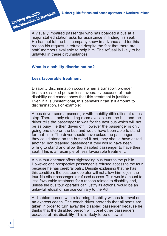A visually impaired passenger who has boarded a bus at a major staffed station asks for assistance in finding his seat. He has not let the bus company know in advance and for this reason his request is refused despite the fact that there are staff members available to help him. The refusal is likely to be unlawful in these circumstances.

# **What is disability discrimination?**

## **Less favourable treatment**

**Avoiding disability**

**discrimination in transport** 

Disability discrimination occurs when a transport provider treats a disabled person less favourably because of their disability and cannot show that this treatment is justified. Even if it is unintentional, this behaviour can still amount to discrimination. For example:

A bus driver sees a passenger with mobility difficulties at a bus stop. There is only standing room available on the bus and the driver tells the passenger to wait for the next bus which will not be as busy. He then drives off. However the passenger is only going one stop on the bus and would have been able to stand for that time. The driver should have asked the passenger if they could stand on the bus and if not, they should have asked another, non disabled passenger if they would have been willing to stand and allow the disabled passenger to have their seat. This is an example of less favourable treatment.

A bus tour operator offers sightseeing bus tours to the public. However, one prospective passenger is refused access to the tour because he has cerebral palsy. Despite explaining that he has this condition, the bus tour operator will not allow him to join the tour. No other passenger is refused access. This would amount to less favourable treatment for a reason related to disability and, unless the bus tour operator can justify its actions, would be an unlawful refusal of service contrary to the Act.

A disabled person with a learning disability wishes to travel on an express coach. The coach driver pretends that all seats are taken in order to turn away the disabled passenger because he thinks that the disabled person will upset other passengers because of his disability. This is likely to be unlawful.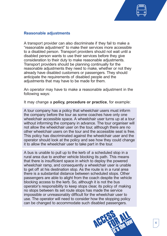**Reasonable adjustments**

A transport provider can also discriminate if they fail to make a "reasonable adjustment" to make their services more accessible to a disabled person. Transport providers should not wait until a disabled person wants to use their services before they give consideration to their duty to make reasonable adjustments. Transport providers should be planning continually for the reasonable adjustments they need to make, whether or not they already have disabled customers or passengers. They should anticipate the requirements of disabled people and the adjustments that may have to be made for them.

An operator may have to make a reasonable adjustment in the following ways:

It may change a **policy, procedure or practice**, for example:

A tour company has a policy that wheelchair users must inform the company before the tour as some coaches have only one wheelchair accessible space. A wheelchair user turns up at a tour without informing the company in advance. The tour organiser will not allow the wheelchair user on the tour, although there are no other wheelchair users on the tour and the accessible seat is free. This policy has discriminated against the wheelchair user and the operator should look at the policy and see how they could change it to allow the wheelchair user to take part in the tour.

A bus is unable to pull up to the kerb of a scheduled stop in a rural area due to another vehicle blocking its path. This means that there is insufficient space in which to deploy the powered wheelchair ramp, and consequently a wheelchair user is unable to get off at his destination stop. As the route is in a rural area there is a substantial distance between scheduled stops. Other passengers are able to alight from the coach despite the vehicle blocking access to the kerb. So, although it is not the bus operator's responsibility to keep stops clear, its policy of making no stops between its set route stops has made the service impossible or unreasonably difficult for the wheelchair user to use. The operator will need to consider how the stopping policy can be changed to accommodate such disabled passengers.

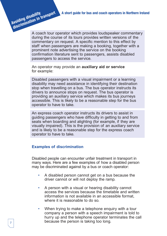A coach tour operator which provides loudspeaker commentary during the course of its tours provides written versions of the commentary on request. A specific mention to this effect by staff when passengers are making a booking, together with a prominent note advertising the service on the booking confirmation literature sent to passengers, assists disabled passengers to access the service.

An operator may provide an **auxiliary aid or service** for example:

Disabled passengers with a visual impairment or a learning disability may need assistance in identifying their destination stop when travelling on a bus. The bus operator instructs its drivers to announce stops on request. The bus operator is providing an auxiliary service which makes its bus journeys accessible. This is likely to be a reasonable step for the bus operator to have to take.

An express coach operator instructs its drivers to assist in guiding passengers who have difficulty in getting to and from seats when boarding and alighting (for example, if they are visually impaired). This is the provision of an auxiliary service and is likely to be a reasonable step for the express coach operator to have to take.

## **Examples of discrimination**

Disabled people can encounter unfair treatment in transport in many ways. Here are a few examples of how a disabled person may be discriminated against by a bus or coach operator:

- A disabled person cannot get on a bus because the driver cannot or will not deploy the ramp.
- A person with a visual or hearing disability cannot access the services because the timetable and written information is not available in an accessible format, where it is reasonable to do so.
- When trying to make a telephone enquiry with a tour company a person with a speech impairment is told to hurry up and the telephone operator terminates the call because the person is taking too long.

**Avoiding disability**

**discrimination in transport**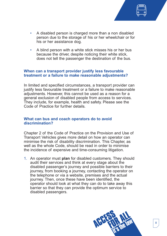

- A disabled person is charged more than a non disabled person due to the storage of his or her wheelchair or for his or her assistance dog.
- A blind person with a white stick misses his or her bus because the driver, despite noticing their white stick, does not tell the passenger the destination of the bus.

## **When can a transport provider justify less favourable treatment or a failure to make reasonable adjustments?**

In limited and specified circumstances, a transport provider can justify less favourable treatment or a failure to make reasonable adjustments. However, this cannot be used as a reason for a general exclusion of disabled people from access to services. They include, for example, health and safety. Please see the Code of Practice for further details.

## **What can bus and coach operators do to avoid discrimination?**

Chapter 2 of the Code of Practice on the Provision and Use of Transport Vehicles gives more detail on how an operator can minimise the risk of disability discrimination. This Chapter, as well as the whole Code, should be read in order to minimise the incidence of expensive and time-consuming litigation.

1. An operator must **plan** for disabled customers. They should audit their services and think at every stage about the disabled passenger's journey and possible barriers to their journey, from booking a journey, contacting the operator on the telephone or via a website, premises and the actual journey. Then, once these have been identified, the operator should look at what they can do to take away this barrier so that they can provide the optimum service to disabled passengers.

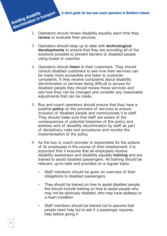- 2. Operators should review disability equality each time they **review** or evaluate their services.
- 3. Operators should keep up to date with **technological developments** to ensure that they are providing all of the solutions possible to prevent barriers to disabled people using buses or coaches.
- 4. Operators should **listen** to their customers. They should consult disabled customers to see how their services can be made more accessible and listen to customer complaints. If they receive complaints about disability discrimination or services being difficult to access for disabled people they should review these services and see how they can be changed and consider any reasonable adjustments that can be made.
- 5. Bus and coach operators should ensure that they have a positive **policy** on the provision of services to ensure inclusion of disabled people and communicate it to staff. They should make sure that staff are aware of the consequences of potential breaches of this policy and address acts of disability discrimination by staff as part of disciplinary rules and procedures and monitor the implementation of the policy.
- 6. As the bus or coach provider is responsible for the actions of its employees in the course of their employment, it is important that it ensures that all employees receive disability awareness and disability equality **training** and are trained to assist disabled passengers. All training should be relevant, up-to-date and provided on a regular basis.
	- Staff members should be given an overview of their obligations to disabled passengers.
	- They should be trained on how to assist disabled people, this should include training on how to assist people who may not be obviously disabled, who may have epilepsy or a heart condition.
	- Staff members should be trained not to assume that people need help but to ask if a passenger requires help before giving it.

**Avoiding disability**

**discrimination in transport**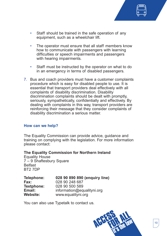

- Staff should be trained in the safe operation of any equipment, such as a wheelchair lift.
- The operator must ensure that all staff members know how to communicate with passengers with learning difficulties or speech impairments and passengers with hearing impairments.
- Staff must be instructed by the operator on what to do in an emergency in terms of disabled passengers.
- 7. Bus and coach providers must have a customer complaints procedure which is easy for disabled people to use. It is essential that transport providers deal effectively with all complaints of disability discrimination. Disability discrimination complaints should be dealt with promptly, seriously, sympathetically, confidentially and effectively. By dealing with complaints in this way, transport providers are reinforcing their message that they consider complaints of disability discrimination a serious matter.

## **How can we help?**

The Equality Commission can provide advice, guidance and training on complying with the legislation. For more information please contact:

**The Equality Commission for Northern Ireland** Equality House 7 – 9 Shaftesbury Square Belfast BT2 7DP

| Telephone:        | 028 90 890 890 (enquiry line) |
|-------------------|-------------------------------|
| Fax:              | 028 90 248 687                |
| <b>Textphone:</b> | 028 90 500 589                |
| Email:            | information@equalityni.org    |
| <b>Website:</b>   | www.equalityni.org            |

You can also use Typetalk to contact us.